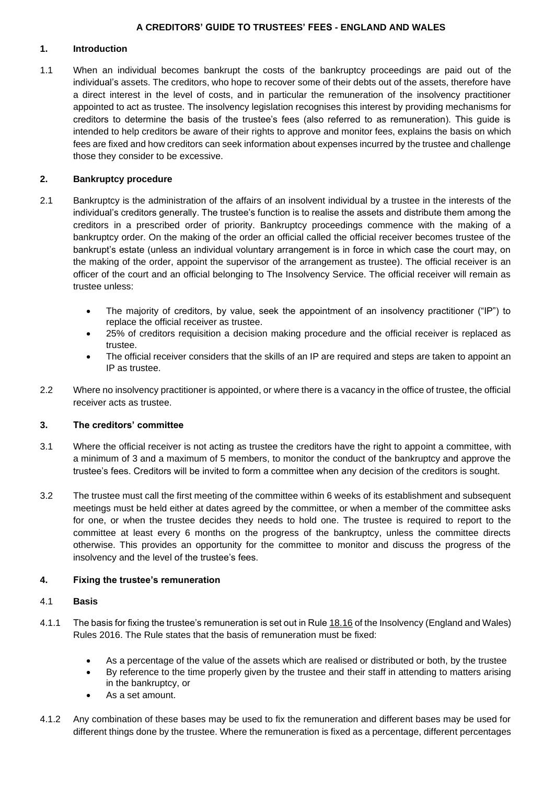## **1. Introduction**

1.1 When an individual becomes bankrupt the costs of the bankruptcy proceedings are paid out of the individual's assets. The creditors, who hope to recover some of their debts out of the assets, therefore have a direct interest in the level of costs, and in particular the remuneration of the insolvency practitioner appointed to act as trustee. The insolvency legislation recognises this interest by providing mechanisms for creditors to determine the basis of the trustee's fees (also referred to as remuneration). This guide is intended to help creditors be aware of their rights to approve and monitor fees, explains the basis on which fees are fixed and how creditors can seek information about expenses incurred by the trustee and challenge those they consider to be excessive.

## **2. Bankruptcy procedure**

- 2.1 Bankruptcy is the administration of the affairs of an insolvent individual by a trustee in the interests of the individual's creditors generally. The trustee's function is to realise the assets and distribute them among the creditors in a prescribed order of priority. Bankruptcy proceedings commence with the making of a bankruptcy order. On the making of the order an official called the official receiver becomes trustee of the bankrupt's estate (unless an individual voluntary arrangement is in force in which case the court may, on the making of the order, appoint the supervisor of the arrangement as trustee). The official receiver is an officer of the court and an official belonging to The Insolvency Service. The official receiver will remain as trustee unless:
	- The majority of creditors, by value, seek the appointment of an insolvency practitioner ("IP") to replace the official receiver as trustee.
	- 25% of creditors requisition a decision making procedure and the official receiver is replaced as trustee.
	- The official receiver considers that the skills of an IP are required and steps are taken to appoint an IP as trustee.
- 2.2 Where no insolvency practitioner is appointed, or where there is a vacancy in the office of trustee, the official receiver acts as trustee.

#### **3. The creditors' committee**

- 3.1 Where the official receiver is not acting as trustee the creditors have the right to appoint a committee, with a minimum of 3 and a maximum of 5 members, to monitor the conduct of the bankruptcy and approve the trustee's fees. Creditors will be invited to form a committee when any decision of the creditors is sought.
- 3.2 The trustee must call the first meeting of the committee within 6 weeks of its establishment and subsequent meetings must be held either at dates agreed by the committee, or when a member of the committee asks for one, or when the trustee decides they needs to hold one. The trustee is required to report to the committee at least every 6 months on the progress of the bankruptcy, unless the committee directs otherwise. This provides an opportunity for the committee to monitor and discuss the progress of the insolvency and the level of the trustee's fees.

## **4. Fixing the trustee's remuneration**

#### 4.1 **Basis**

- 4.1.1 The basis for fixing the trustee's remuneration is set out in Rul[e 18.16](https://www.legislation.gov.uk/uksi/2016/1024/article/18.16/made) of the Insolvency (England and Wales) Rules 2016. The Rule states that the basis of remuneration must be fixed:
	- As a percentage of the value of the assets which are realised or distributed or both, by the trustee
	- By reference to the time properly given by the trustee and their staff in attending to matters arising in the bankruptcy, or
	- As a set amount.
- 4.1.2 Any combination of these bases may be used to fix the remuneration and different bases may be used for different things done by the trustee. Where the remuneration is fixed as a percentage, different percentages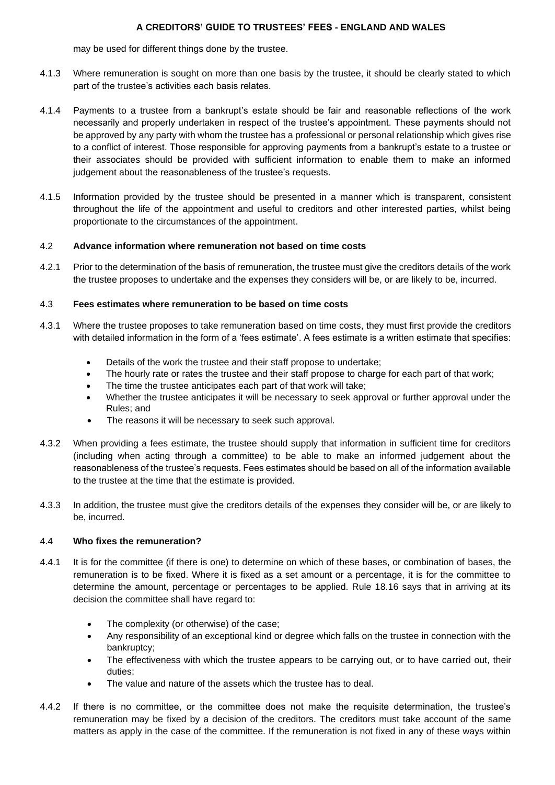may be used for different things done by the trustee.

- 4.1.3 Where remuneration is sought on more than one basis by the trustee, it should be clearly stated to which part of the trustee's activities each basis relates.
- 4.1.4 Payments to a trustee from a bankrupt's estate should be fair and reasonable reflections of the work necessarily and properly undertaken in respect of the trustee's appointment. These payments should not be approved by any party with whom the trustee has a professional or personal relationship which gives rise to a conflict of interest. Those responsible for approving payments from a bankrupt's estate to a trustee or their associates should be provided with sufficient information to enable them to make an informed judgement about the reasonableness of the trustee's requests.
- 4.1.5 Information provided by the trustee should be presented in a manner which is transparent, consistent throughout the life of the appointment and useful to creditors and other interested parties, whilst being proportionate to the circumstances of the appointment.

### 4.2 **Advance information where remuneration not based on time costs**

4.2.1 Prior to the determination of the basis of remuneration, the trustee must give the creditors details of the work the trustee proposes to undertake and the expenses they considers will be, or are likely to be, incurred.

### 4.3 **Fees estimates where remuneration to be based on time costs**

- 4.3.1 Where the trustee proposes to take remuneration based on time costs, they must first provide the creditors with detailed information in the form of a 'fees estimate'. A fees estimate is a written estimate that specifies:
	- Details of the work the trustee and their staff propose to undertake;
	- The hourly rate or rates the trustee and their staff propose to charge for each part of that work;
	- The time the trustee anticipates each part of that work will take;
	- Whether the trustee anticipates it will be necessary to seek approval or further approval under the Rules; and
	- The reasons it will be necessary to seek such approval.
- 4.3.2 When providing a fees estimate, the trustee should supply that information in sufficient time for creditors (including when acting through a committee) to be able to make an informed judgement about the reasonableness of the trustee's requests. Fees estimates should be based on all of the information available to the trustee at the time that the estimate is provided.
- 4.3.3 In addition, the trustee must give the creditors details of the expenses they consider will be, or are likely to be, incurred.

#### 4.4 **Who fixes the remuneration?**

- 4.4.1 It is for the committee (if there is one) to determine on which of these bases, or combination of bases, the remuneration is to be fixed. Where it is fixed as a set amount or a percentage, it is for the committee to determine the amount, percentage or percentages to be applied. Rule 18.16 says that in arriving at its decision the committee shall have regard to:
	- The complexity (or otherwise) of the case;
	- Any responsibility of an exceptional kind or degree which falls on the trustee in connection with the bankruptcy;
	- The effectiveness with which the trustee appears to be carrying out, or to have carried out, their duties;
	- The value and nature of the assets which the trustee has to deal.
- 4.4.2 If there is no committee, or the committee does not make the requisite determination, the trustee's remuneration may be fixed by a decision of the creditors. The creditors must take account of the same matters as apply in the case of the committee. If the remuneration is not fixed in any of these ways within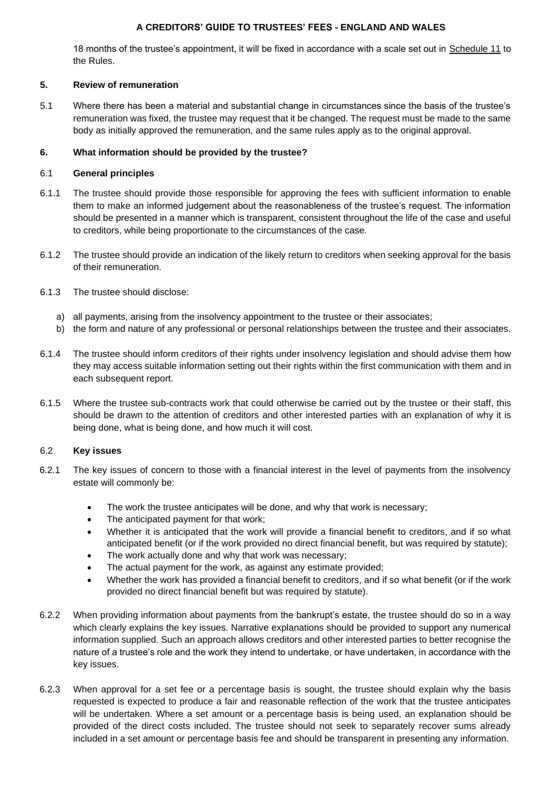18 months of the trustee's appointment, it will be fixed in accordance with a scale set out in [Schedule 11](https://www.legislation.gov.uk/uksi/2016/1024/schedule/11/made) to the Rules.

## **5. Review of remuneration**

5.1 Where there has been a material and substantial change in circumstances since the basis of the trustee's remuneration was fixed, the trustee may request that it be changed. The request must be made to the same body as initially approved the remuneration, and the same rules apply as to the original approval.

## **6. What information should be provided by the trustee?**

### 6.1 **General principles**

- 6.1.1 The trustee should provide those responsible for approving the fees with sufficient information to enable them to make an informed judgement about the reasonableness of the trustee's request. The information should be presented in a manner which is transparent, consistent throughout the life of the case and useful to creditors, while being proportionate to the circumstances of the case.
- 6.1.2 The trustee should provide an indication of the likely return to creditors when seeking approval for the basis of their remuneration.
- 6.1.3 The trustee should disclose:
	- a) all payments, arising from the insolvency appointment to the trustee or their associates;
	- b) the form and nature of any professional or personal relationships between the trustee and their associates.
- 6.1.4 The trustee should inform creditors of their rights under insolvency legislation and should advise them how they may access suitable information setting out their rights within the first communication with them and in each subsequent report.
- 6.1.5 Where the trustee sub-contracts work that could otherwise be carried out by the trustee or their staff, this should be drawn to the attention of creditors and other interested parties with an explanation of why it is being done, what is being done, and how much it will cost.

## 6.2 **Key issues**

- 6.2.1 The key issues of concern to those with a financial interest in the level of payments from the insolvency estate will commonly be:
	- The work the trustee anticipates will be done, and why that work is necessary;
	- The anticipated payment for that work;
	- Whether it is anticipated that the work will provide a financial benefit to creditors, and if so what anticipated benefit (or if the work provided no direct financial benefit, but was required by statute);
	- The work actually done and why that work was necessary;
	- The actual payment for the work, as against any estimate provided;
	- Whether the work has provided a financial benefit to creditors, and if so what benefit (or if the work provided no direct financial benefit but was required by statute).
- 6.2.2 When providing information about payments from the bankrupt's estate, the trustee should do so in a way which clearly explains the key issues. Narrative explanations should be provided to support any numerical information supplied. Such an approach allows creditors and other interested parties to better recognise the nature of a trustee's role and the work they intend to undertake, or have undertaken, in accordance with the key issues.
- 6.2.3 When approval for a set fee or a percentage basis is sought, the trustee should explain why the basis requested is expected to produce a fair and reasonable reflection of the work that the trustee anticipates will be undertaken. Where a set amount or a percentage basis is being used, an explanation should be provided of the direct costs included. The trustee should not seek to separately recover sums already included in a set amount or percentage basis fee and should be transparent in presenting any information.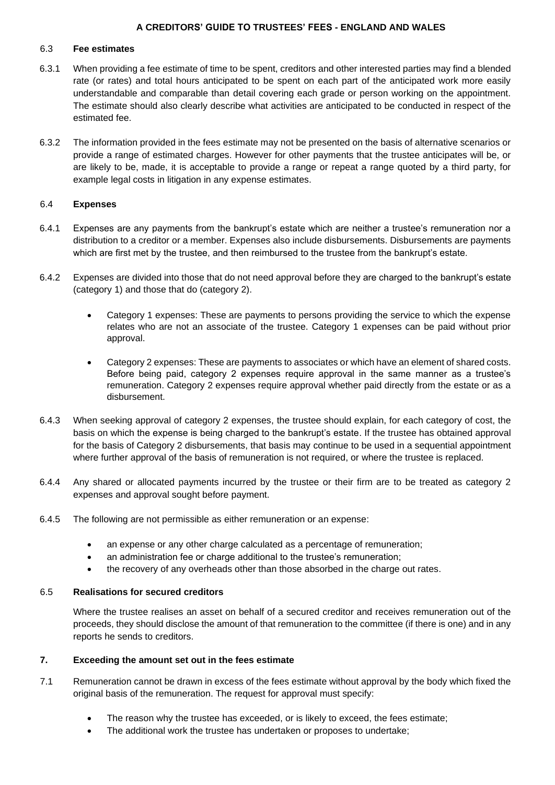## 6.3 **Fee estimates**

- 6.3.1 When providing a fee estimate of time to be spent, creditors and other interested parties may find a blended rate (or rates) and total hours anticipated to be spent on each part of the anticipated work more easily understandable and comparable than detail covering each grade or person working on the appointment. The estimate should also clearly describe what activities are anticipated to be conducted in respect of the estimated fee.
- 6.3.2 The information provided in the fees estimate may not be presented on the basis of alternative scenarios or provide a range of estimated charges. However for other payments that the trustee anticipates will be, or are likely to be, made, it is acceptable to provide a range or repeat a range quoted by a third party, for example legal costs in litigation in any expense estimates.

### 6.4 **Expenses**

- 6.4.1 Expenses are any payments from the bankrupt's estate which are neither a trustee's remuneration nor a distribution to a creditor or a member. Expenses also include disbursements. Disbursements are payments which are first met by the trustee, and then reimbursed to the trustee from the bankrupt's estate.
- 6.4.2 Expenses are divided into those that do not need approval before they are charged to the bankrupt's estate (category 1) and those that do (category 2).
	- Category 1 expenses: These are payments to persons providing the service to which the expense relates who are not an associate of the trustee. Category 1 expenses can be paid without prior approval.
	- Category 2 expenses: These are payments to associates or which have an element of shared costs. Before being paid, category 2 expenses require approval in the same manner as a trustee's remuneration. Category 2 expenses require approval whether paid directly from the estate or as a disbursement.
- 6.4.3 When seeking approval of category 2 expenses, the trustee should explain, for each category of cost, the basis on which the expense is being charged to the bankrupt's estate. If the trustee has obtained approval for the basis of Category 2 disbursements, that basis may continue to be used in a sequential appointment where further approval of the basis of remuneration is not required, or where the trustee is replaced.
- 6.4.4 Any shared or allocated payments incurred by the trustee or their firm are to be treated as category 2 expenses and approval sought before payment.
- 6.4.5 The following are not permissible as either remuneration or an expense:
	- an expense or any other charge calculated as a percentage of remuneration;
	- an administration fee or charge additional to the trustee's remuneration;
	- the recovery of any overheads other than those absorbed in the charge out rates.

### 6.5 **Realisations for secured creditors**

Where the trustee realises an asset on behalf of a secured creditor and receives remuneration out of the proceeds, they should disclose the amount of that remuneration to the committee (if there is one) and in any reports he sends to creditors.

## **7. Exceeding the amount set out in the fees estimate**

- 7.1 Remuneration cannot be drawn in excess of the fees estimate without approval by the body which fixed the original basis of the remuneration. The request for approval must specify:
	- The reason why the trustee has exceeded, or is likely to exceed, the fees estimate;
	- The additional work the trustee has undertaken or proposes to undertake;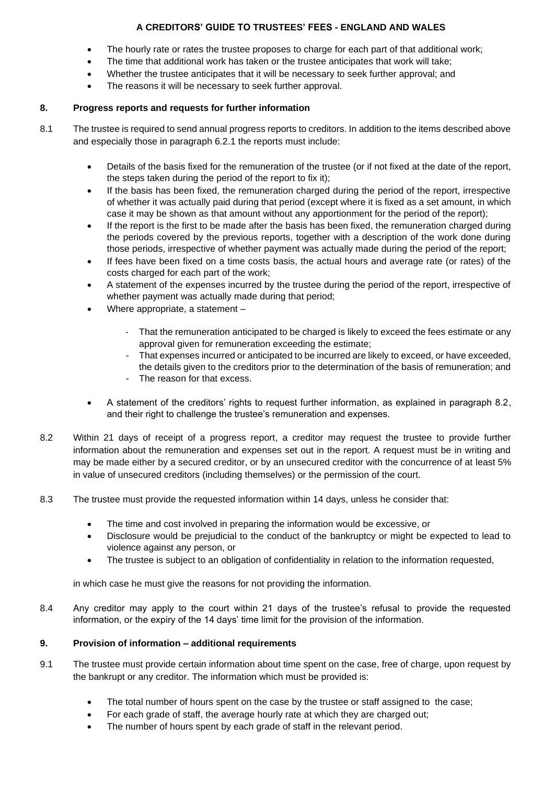- The hourly rate or rates the trustee proposes to charge for each part of that additional work;
- The time that additional work has taken or the trustee anticipates that work will take;
- Whether the trustee anticipates that it will be necessary to seek further approval; and
- The reasons it will be necessary to seek further approval.

# **8. Progress reports and requests for further information**

- 8.1 The trustee is required to send annual progress reports to creditors. In addition to the items described above and especially those in paragraph 6.2.1 the reports must include:
	- Details of the basis fixed for the remuneration of the trustee (or if not fixed at the date of the report, the steps taken during the period of the report to fix it);
	- If the basis has been fixed, the remuneration charged during the period of the report, irrespective of whether it was actually paid during that period (except where it is fixed as a set amount, in which case it may be shown as that amount without any apportionment for the period of the report);
	- If the report is the first to be made after the basis has been fixed, the remuneration charged during the periods covered by the previous reports, together with a description of the work done during those periods, irrespective of whether payment was actually made during the period of the report;
	- If fees have been fixed on a time costs basis, the actual hours and average rate (or rates) of the costs charged for each part of the work;
	- A statement of the expenses incurred by the trustee during the period of the report, irrespective of whether payment was actually made during that period;
	- Where appropriate, a statement
		- That the remuneration anticipated to be charged is likely to exceed the fees estimate or any approval given for remuneration exceeding the estimate;
		- That expenses incurred or anticipated to be incurred are likely to exceed, or have exceeded, the details given to the creditors prior to the determination of the basis of remuneration; and
		- The reason for that excess.
	- A statement of the creditors' rights to request further information, as explained in paragraph 8.2, and their right to challenge the trustee's remuneration and expenses.
- 8.2 Within 21 days of receipt of a progress report, a creditor may request the trustee to provide further information about the remuneration and expenses set out in the report. A request must be in writing and may be made either by a secured creditor, or by an unsecured creditor with the concurrence of at least 5% in value of unsecured creditors (including themselves) or the permission of the court.
- 8.3 The trustee must provide the requested information within 14 days, unless he consider that:
	- The time and cost involved in preparing the information would be excessive, or
	- Disclosure would be prejudicial to the conduct of the bankruptcy or might be expected to lead to violence against any person, or
	- The trustee is subject to an obligation of confidentiality in relation to the information requested,

in which case he must give the reasons for not providing the information.

8.4 Any creditor may apply to the court within 21 days of the trustee's refusal to provide the requested information, or the expiry of the 14 days' time limit for the provision of the information.

# **9. Provision of information – additional requirements**

- 9.1 The trustee must provide certain information about time spent on the case, free of charge, upon request by the bankrupt or any creditor. The information which must be provided is:
	- The total number of hours spent on the case by the trustee or staff assigned to the case;
	- For each grade of staff, the average hourly rate at which they are charged out;
	- The number of hours spent by each grade of staff in the relevant period.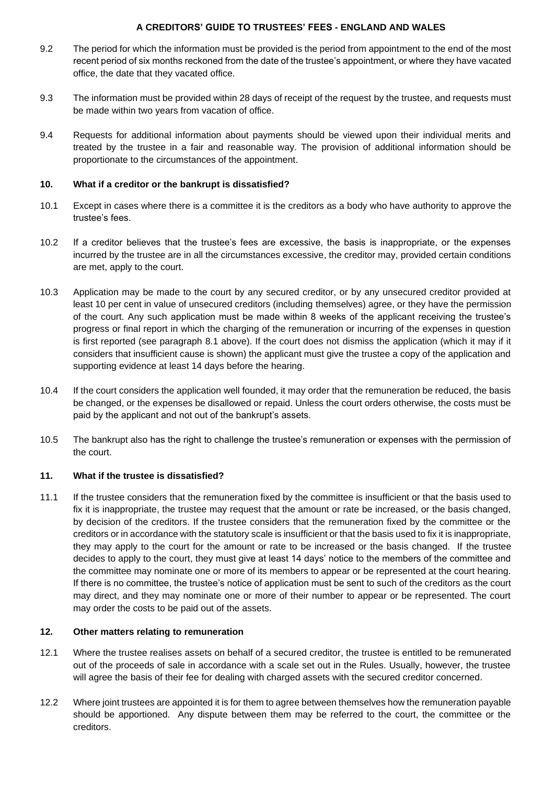- 9.2 The period for which the information must be provided is the period from appointment to the end of the most recent period of six months reckoned from the date of the trustee's appointment, or where they have vacated office, the date that they vacated office.
- 9.3 The information must be provided within 28 days of receipt of the request by the trustee, and requests must be made within two years from vacation of office.
- 9.4 Requests for additional information about payments should be viewed upon their individual merits and treated by the trustee in a fair and reasonable way. The provision of additional information should be proportionate to the circumstances of the appointment.

## **10. What if a creditor or the bankrupt is dissatisfied?**

- 10.1 Except in cases where there is a committee it is the creditors as a body who have authority to approve the trustee's fees.
- 10.2 If a creditor believes that the trustee's fees are excessive, the basis is inappropriate, or the expenses incurred by the trustee are in all the circumstances excessive, the creditor may, provided certain conditions are met, apply to the court.
- 10.3 Application may be made to the court by any secured creditor, or by any unsecured creditor provided at least 10 per cent in value of unsecured creditors (including themselves) agree, or they have the permission of the court. Any such application must be made within 8 weeks of the applicant receiving the trustee's progress or final report in which the charging of the remuneration or incurring of the expenses in question is first reported (see paragraph 8.1 above). If the court does not dismiss the application (which it may if it considers that insufficient cause is shown) the applicant must give the trustee a copy of the application and supporting evidence at least 14 days before the hearing.
- 10.4 If the court considers the application well founded, it may order that the remuneration be reduced, the basis be changed, or the expenses be disallowed or repaid. Unless the court orders otherwise, the costs must be paid by the applicant and not out of the bankrupt's assets.
- 10.5 The bankrupt also has the right to challenge the trustee's remuneration or expenses with the permission of the court.

## **11. What if the trustee is dissatisfied?**

11.1 If the trustee considers that the remuneration fixed by the committee is insufficient or that the basis used to fix it is inappropriate, the trustee may request that the amount or rate be increased, or the basis changed, by decision of the creditors. If the trustee considers that the remuneration fixed by the committee or the creditors or in accordance with the statutory scale is insufficient or that the basis used to fix it is inappropriate, they may apply to the court for the amount or rate to be increased or the basis changed. If the trustee decides to apply to the court, they must give at least 14 days' notice to the members of the committee and the committee may nominate one or more of its members to appear or be represented at the court hearing. If there is no committee, the trustee's notice of application must be sent to such of the creditors as the court may direct, and they may nominate one or more of their number to appear or be represented. The court may order the costs to be paid out of the assets.

## **12. Other matters relating to remuneration**

- 12.1 Where the trustee realises assets on behalf of a secured creditor, the trustee is entitled to be remunerated out of the proceeds of sale in accordance with a scale set out in the Rules. Usually, however, the trustee will agree the basis of their fee for dealing with charged assets with the secured creditor concerned.
- 12.2 Where joint trustees are appointed it is for them to agree between themselves how the remuneration payable should be apportioned. Any dispute between them may be referred to the court, the committee or the creditors.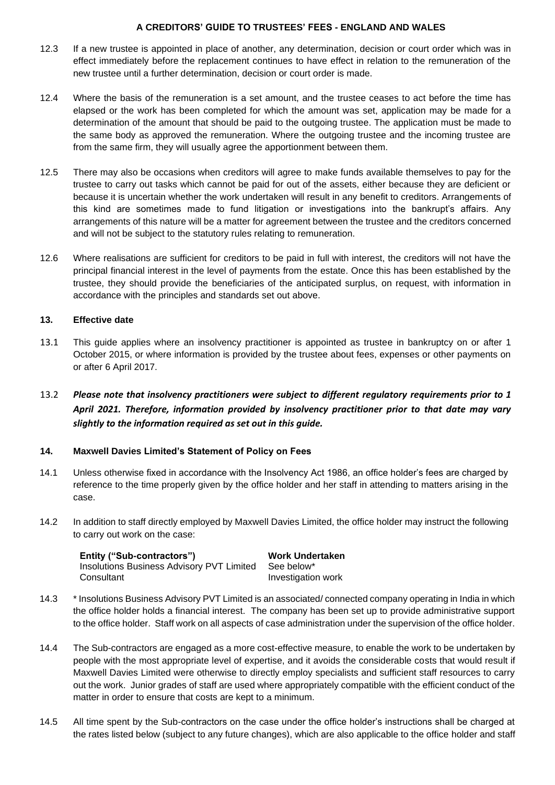- 12.3 If a new trustee is appointed in place of another, any determination, decision or court order which was in effect immediately before the replacement continues to have effect in relation to the remuneration of the new trustee until a further determination, decision or court order is made.
- 12.4 Where the basis of the remuneration is a set amount, and the trustee ceases to act before the time has elapsed or the work has been completed for which the amount was set, application may be made for a determination of the amount that should be paid to the outgoing trustee. The application must be made to the same body as approved the remuneration. Where the outgoing trustee and the incoming trustee are from the same firm, they will usually agree the apportionment between them.
- 12.5 There may also be occasions when creditors will agree to make funds available themselves to pay for the trustee to carry out tasks which cannot be paid for out of the assets, either because they are deficient or because it is uncertain whether the work undertaken will result in any benefit to creditors. Arrangements of this kind are sometimes made to fund litigation or investigations into the bankrupt's affairs. Any arrangements of this nature will be a matter for agreement between the trustee and the creditors concerned and will not be subject to the statutory rules relating to remuneration.
- 12.6 Where realisations are sufficient for creditors to be paid in full with interest, the creditors will not have the principal financial interest in the level of payments from the estate. Once this has been established by the trustee, they should provide the beneficiaries of the anticipated surplus, on request, with information in accordance with the principles and standards set out above.

## **13. Effective date**

- 13.1 This guide applies where an insolvency practitioner is appointed as trustee in bankruptcy on or after 1 October 2015, or where information is provided by the trustee about fees, expenses or other payments on or after 6 April 2017.
- 13.2 *Please note that insolvency practitioners were subject to different regulatory requirements prior to 1 April 2021. Therefore, information provided by insolvency practitioner prior to that date may vary slightly to the information required as set out in this guide.*

# **14. Maxwell Davies Limited's Statement of Policy on Fees**

- 14.1 Unless otherwise fixed in accordance with the Insolvency Act 1986, an office holder's fees are charged by reference to the time properly given by the office holder and her staff in attending to matters arising in the case.
- 14.2 In addition to staff directly employed by Maxwell Davies Limited, the office holder may instruct the following to carry out work on the case:

| Entity ("Sub-contractors")                       | <b>Work Undertaken</b> |
|--------------------------------------------------|------------------------|
| <b>Insolutions Business Advisory PVT Limited</b> | See below*             |
| Consultant                                       | Investigation work     |

- 14.3 \* Insolutions Business Advisory PVT Limited is an associated/ connected company operating in India in which the office holder holds a financial interest. The company has been set up to provide administrative support to the office holder. Staff work on all aspects of case administration under the supervision of the office holder.
- 14.4 The Sub-contractors are engaged as a more cost-effective measure, to enable the work to be undertaken by people with the most appropriate level of expertise, and it avoids the considerable costs that would result if Maxwell Davies Limited were otherwise to directly employ specialists and sufficient staff resources to carry out the work. Junior grades of staff are used where appropriately compatible with the efficient conduct of the matter in order to ensure that costs are kept to a minimum.
- 14.5 All time spent by the Sub-contractors on the case under the office holder's instructions shall be charged at the rates listed below (subject to any future changes), which are also applicable to the office holder and staff